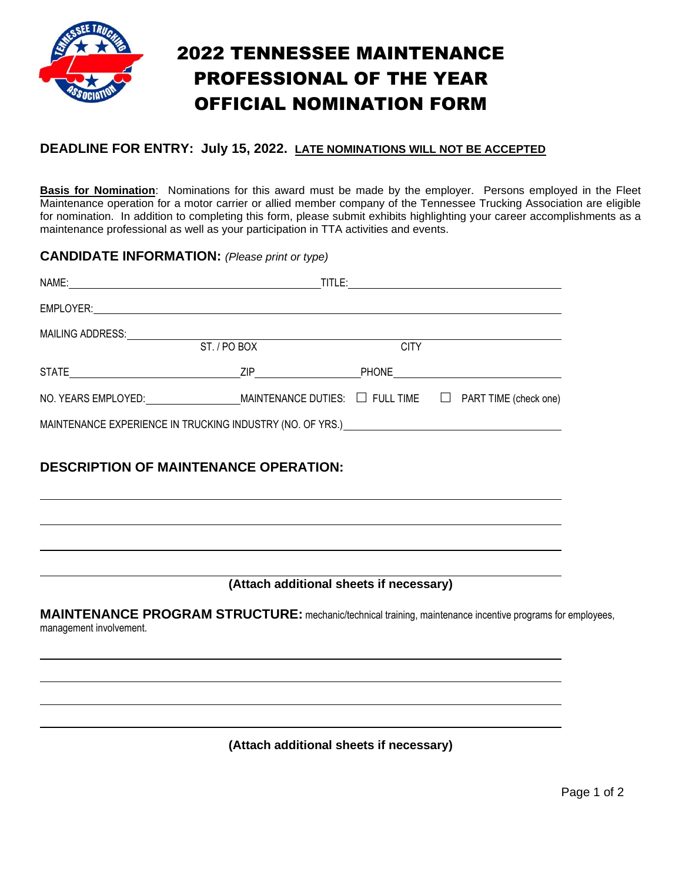

## 2022 TENNESSEE MAINTENANCE PROFESSIONAL OF THE YEAR OFFICIAL NOMINATION FORM

#### **DEADLINE FOR ENTRY: July 15, 2022. LATE NOMINATIONS WILL NOT BE ACCEPTED**

**Basis for Nomination**: Nominations for this award must be made by the employer. Persons employed in the Fleet Maintenance operation for a motor carrier or allied member company of the Tennessee Trucking Association are eligible for nomination. In addition to completing this form, please submit exhibits highlighting your career accomplishments as a maintenance professional as well as your participation in TTA activities and events.

#### **CANDIDATE INFORMATION:** *(Please print or type)*

| NAME:<br><u> 1989 - Andrea Station, Amerikaansk politiker (</u>                                                    |                       | TITLE:      | <u> 1980 - Jan Samuel Barbara, margaret e populari e populari e populari e populari e populari e populari e pop</u> |
|--------------------------------------------------------------------------------------------------------------------|-----------------------|-------------|---------------------------------------------------------------------------------------------------------------------|
|                                                                                                                    |                       |             |                                                                                                                     |
| MAILING ADDRESS:                                                                                                   |                       |             |                                                                                                                     |
|                                                                                                                    | ST. / PO BOX          | <b>CITY</b> |                                                                                                                     |
| STATE                                                                                                              | ZIP <b>Example 20</b> |             |                                                                                                                     |
| NO. YEARS EMPLOYED: MAINTENANCE DUTIES: $\Box$ FULL TIME $\Box$ PART TIME (check one)                              |                       |             |                                                                                                                     |
| MAINTENANCE EXPERIENCE IN TRUCKING INDUSTRY (NO. OF YRS.) CONFIDENTIAL CONTROLLER CONTROLLER CONTROLLER CONTROLLER |                       |             |                                                                                                                     |
|                                                                                                                    |                       |             |                                                                                                                     |

### **DESCRIPTION OF MAINTENANCE OPERATION:**

### **(Attach additional sheets if necessary)**

**MAINTENANCE PROGRAM STRUCTURE:** mechanic/technical training, maintenance incentive programs for employees, management involvement.

**(Attach additional sheets if necessary)**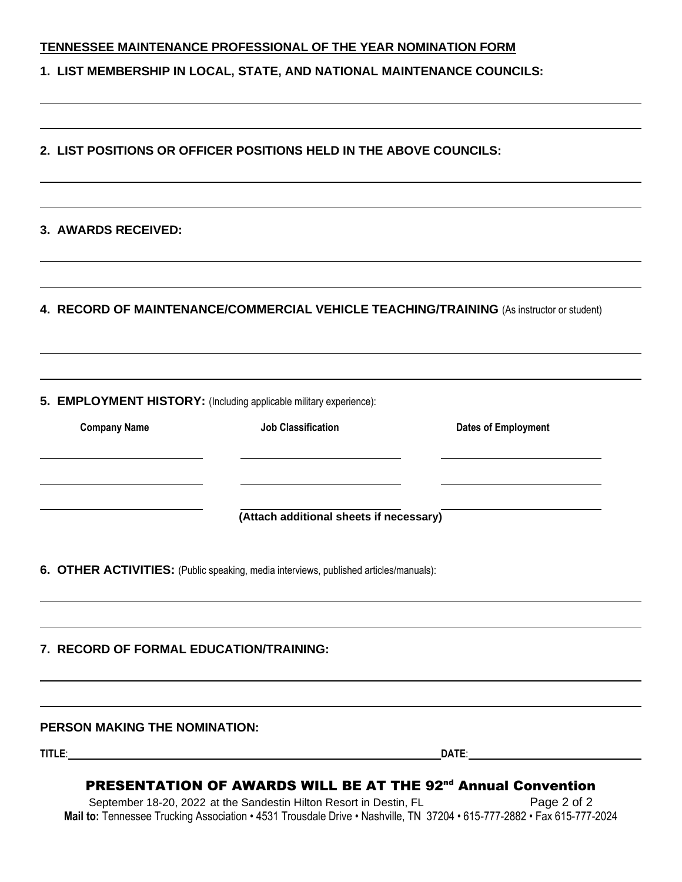|                                                                        | <b>TENNESSEE MAINTENANCE PROFESSIONAL OF THE YEAR NOMINATION FORM</b>                           |                                                                                                                                                                                                                                     |
|------------------------------------------------------------------------|-------------------------------------------------------------------------------------------------|-------------------------------------------------------------------------------------------------------------------------------------------------------------------------------------------------------------------------------------|
| 1. LIST MEMBERSHIP IN LOCAL, STATE, AND NATIONAL MAINTENANCE COUNCILS: |                                                                                                 |                                                                                                                                                                                                                                     |
|                                                                        | 2. LIST POSITIONS OR OFFICER POSITIONS HELD IN THE ABOVE COUNCILS:                              |                                                                                                                                                                                                                                     |
| 3. AWARDS RECEIVED:                                                    |                                                                                                 |                                                                                                                                                                                                                                     |
|                                                                        |                                                                                                 | 4. RECORD OF MAINTENANCE/COMMERCIAL VEHICLE TEACHING/TRAINING (As instructor or student)                                                                                                                                            |
| <b>Company Name</b>                                                    | 5. EMPLOYMENT HISTORY: (Including applicable military experience):<br><b>Job Classification</b> | <b>Dates of Employment</b>                                                                                                                                                                                                          |
|                                                                        | (Attach additional sheets if necessary)                                                         |                                                                                                                                                                                                                                     |
|                                                                        | 6. OTHER ACTIVITIES: (Public speaking, media interviews, published articles/manuals):           |                                                                                                                                                                                                                                     |
| 7. RECORD OF FORMAL EDUCATION/TRAINING:                                |                                                                                                 |                                                                                                                                                                                                                                     |
| <b>PERSON MAKING THE NOMINATION:</b>                                   |                                                                                                 |                                                                                                                                                                                                                                     |
|                                                                        |                                                                                                 | <b>DATE:</b> the contract of the contract of the contract of the contract of the contract of the contract of the contract of the contract of the contract of the contract of the contract of the contract of the contract of the co |

September 18-20, 2022 at the Sandestin Hilton Resort in Destin, FL Page 2 of 2 **Mail to:** Tennessee Trucking Association • 4531 Trousdale Drive • Nashville, TN 37204 • 615-777-2882 • Fax 615-777-2024